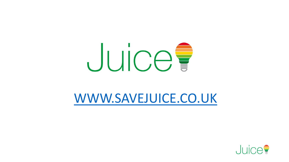

#### [WWW.SAVEJUICE.CO.UK](http://www.savejuice.co.uk/)

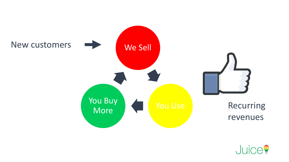

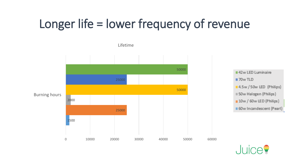# Longer life = lower frequency of revenue



. In  $\mathsf{in}$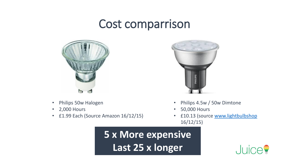#### Cost comparrison



- Philips 50w Halogen
- 2,000 Hours
- £1.99 Each (Source Amazon 16/12/15)



- Philips 4.5w / 50w Dimtone
- 50,000 Hours
- £10.13 (source [www.lightbulbshop](http://www.lightbulbshop/) 16/12/15)

**5 x More expensive Last 25 x longer** 

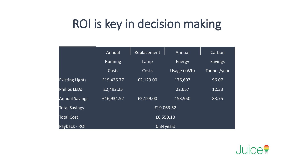### ROI is key in decision making

|                        | Annual         | Replacement | Annual      | Carbon         |
|------------------------|----------------|-------------|-------------|----------------|
|                        | <b>Running</b> | Lamp        | Energy      | <b>Savings</b> |
|                        | Costs          | Costs       | Usage (kWh) | Tonnes/year    |
| <b>Existing Lights</b> | £19,426.77     | £2,129.00   | 176,607     | 96.07          |
| <b>Philips LEDs</b>    | £2,492.25      |             | 22,657      | 12.33          |
| <b>Annual Savings</b>  | £16,934.52     | £2,129.00   | 153,950     | 83.75          |
| <b>Total Savings</b>   | £19,063.52     |             |             |                |
| <b>Total Cost</b>      | £6,550.10      |             |             |                |
| Payback - ROI          | 0.34 years     |             |             |                |

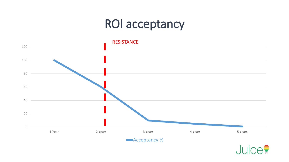## ROI acceptancy



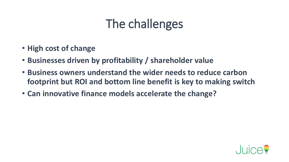## The challenges

- **High cost of change**
- **Businesses driven by profitability / shareholder value**
- **Business owners understand the wider needs to reduce carbon footprint but ROI and bottom line benefit is key to making switch**
- **Can innovative finance models accelerate the change?**

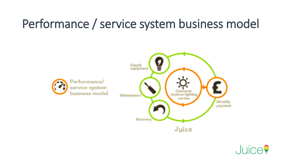## Performance / service system business model



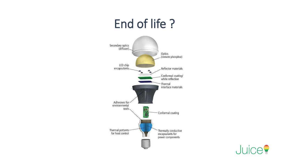### End of life ?



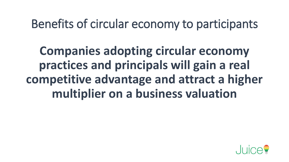Benefits of circular economy to participants

**Companies adopting circular economy practices and principals will gain a real competitive advantage and attract a higher multiplier on a business valuation**